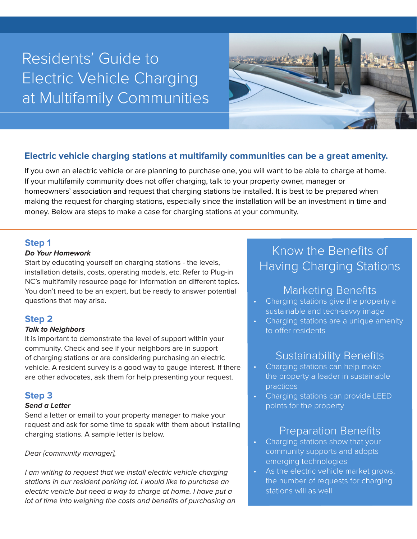# Residents' Guide to Electric Vehicle Charging at Multifamily Communities



### **Electric vehicle charging stations at multifamily communities can be a great amenity.**

If you own an electric vehicle or are planning to purchase one, you will want to be able to charge at home. If your multifamily community does not offer charging, talk to your property owner, manager or homeowners' association and request that charging stations be installed. It is best to be prepared when making the request for charging stations, especially since the installation will be an investment in time and money. Below are steps to make a case for charging stations at your community.

### **Step 1**

### **Do Your Homework**

Start by educating yourself on charging stations - the levels, installation details, costs, operating models, etc. Refer to Plug-in NC's multifamily resource page for information on different topics. You don't need to be an expert, but be ready to answer potential questions that may arise.

### **Step 2**

### **Talk to Neighbors**

It is important to demonstrate the level of support within your community. Check and see if your neighbors are in support of charging stations or are considering purchasing an electric vehicle. A resident survey is a good way to gauge interest. If there are other advocates, ask them for help presenting your request.

### **Step 3**

### **Send a Letter**

Send a letter or email to your property manager to make your request and ask for some time to speak with them about installing charging stations. A sample letter is below.

### Dear [community manager],

I am writing to request that we install electric vehicle charging stations in our resident parking lot. I would like to purchase an electric vehicle but need a way to charge at home. I have put a lot of time into weighing the costs and benefits of purchasing an

# Know the Benefits of Having Charging Stations

## Marketing Benefits

- Charging stations give the property a sustainable and tech-savvy image
- Charging stations are a unique amenity to offer residents

# Sustainability Benefits

- Charging stations can help make the property a leader in sustainable practices
- Charging stations can provide LEED points for the property

# Preparation Benefits

- Charging stations show that your community supports and adopts emerging technologies
- As the electric vehicle market grows, the number of requests for charging stations will as well